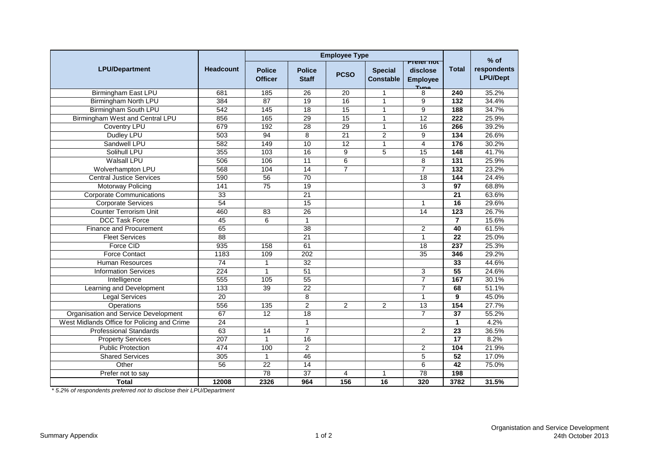|                                             |                  | <b>Employee Type</b>            |                               |                 |                                    |                                                          |                   |                                          |
|---------------------------------------------|------------------|---------------------------------|-------------------------------|-----------------|------------------------------------|----------------------------------------------------------|-------------------|------------------------------------------|
| <b>LPU/Department</b>                       | <b>Headcount</b> | <b>Police</b><br><b>Officer</b> | <b>Police</b><br><b>Staff</b> | <b>PCSO</b>     | <b>Special</b><br><b>Constable</b> | <b>Preter not</b><br>disclose<br><b>Employee</b><br>Type | <b>Total</b>      | $%$ of<br>respondents<br><b>LPU/Dept</b> |
| <b>Birmingham East LPU</b>                  | 681              | 185                             | 26                            | 20              | $\mathbf{1}$                       | 8                                                        | 240               | 35.2%                                    |
| <b>Birmingham North LPU</b>                 | 384              | 87                              | $\overline{19}$               | $\overline{16}$ | $\mathbf{1}$                       | $\overline{9}$                                           | $\overline{132}$  | 34.4%                                    |
| <b>Birmingham South LPU</b>                 | 542              | 145                             | $\overline{18}$               | $\overline{15}$ | $\mathbf{1}$                       | 9                                                        | 188               | 34.7%                                    |
| Birmingham West and Central LPU             | 856              | 165                             | 29                            | 15              | $\mathbf{1}$                       | 12                                                       | 222               | 25.9%                                    |
| Coventry LPU                                | 679              | 192                             | $\overline{28}$               | $\overline{29}$ | $\mathbf{1}$                       | 16                                                       | 266               | 39.2%                                    |
| Dudley LPU                                  | 503              | 94                              | 8                             | $\overline{21}$ | $\overline{2}$                     | 9                                                        | 134               | 26.6%                                    |
| Sandwell LPU                                | 582              | 149                             | 10                            | 12              | $\mathbf{1}$                       | $\overline{4}$                                           | 176               | 30.2%                                    |
| Solihull LPU                                | 355              | 103                             | 16                            | $\overline{9}$  | 5                                  | $\overline{15}$                                          | 148               | 41.7%                                    |
| <b>Walsall LPU</b>                          | 506              | 106                             | 11                            | $\overline{6}$  |                                    | 8                                                        | 131               | 25.9%                                    |
| Wolverhampton LPU                           | 568              | 104                             | 14                            | $\overline{7}$  |                                    | $\overline{7}$                                           | 132               | 23.2%                                    |
| <b>Central Justice Services</b>             | 590              | $\overline{56}$                 | 70                            |                 |                                    | $\overline{18}$                                          | 144               | 24.4%                                    |
| Motorway Policing                           | 141              | $\overline{75}$                 | 19                            |                 |                                    | 3                                                        | 97                | 68.8%                                    |
| <b>Corporate Communications</b>             | 33               |                                 | $\overline{21}$               |                 |                                    |                                                          | 21                | 63.6%                                    |
| <b>Corporate Services</b>                   | 54               |                                 | $\overline{15}$               |                 |                                    | $\mathbf{1}$                                             | $\overline{16}$   | 29.6%                                    |
| <b>Counter Terrorism Unit</b>               | 460              | 83                              | $\overline{26}$               |                 |                                    | 14                                                       | 123               | 26.7%                                    |
| <b>DCC Task Force</b>                       | 45               | 6                               | $\mathbf{1}$                  |                 |                                    |                                                          | $\overline{7}$    | 15.6%                                    |
| <b>Finance and Procurement</b>              | 65               |                                 | $\overline{38}$               |                 |                                    | $\overline{c}$                                           | 40                | 61.5%                                    |
| <b>Fleet Services</b>                       | $\overline{88}$  |                                 | 21                            |                 |                                    | $\mathbf{1}$                                             | 22                | 25.0%                                    |
| Force CID                                   | 935              | 158                             | 61                            |                 |                                    | $\overline{18}$                                          | 237               | 25.3%                                    |
| <b>Force Contact</b>                        | 1183             | 109                             | 202                           |                 |                                    | 35                                                       | 346               | 29.2%                                    |
| <b>Human Resources</b>                      | 74               | $\mathbf{1}$                    | 32                            |                 |                                    |                                                          | 33                | 44.6%                                    |
| <b>Information Services</b>                 | 224              | $\mathbf{1}$                    | 51                            |                 |                                    | 3                                                        | 55                | 24.6%                                    |
| Intelligence                                | 555              | 105                             | $\overline{55}$               |                 |                                    | $\overline{7}$                                           | 167               | 30.1%                                    |
| Learning and Development                    | $\frac{1}{33}$   | 39                              | 22                            |                 |                                    | $\overline{7}$                                           | 68                | 51.1%                                    |
| <b>Legal Services</b>                       | $\overline{20}$  |                                 | 8                             |                 |                                    | $\mathbf{1}$                                             | 9                 | 45.0%                                    |
| Operations                                  | 556              | 135                             | $\overline{2}$                | $\overline{2}$  | $\overline{2}$                     | $\overline{13}$                                          | $\frac{154}{154}$ | 27.7%                                    |
| Organisation and Service Development        | 67               | 12                              | 18                            |                 |                                    | $\overline{7}$                                           | 37                | 55.2%                                    |
| West Midlands Office for Policing and Crime | $\overline{24}$  |                                 | $\mathbf{1}$                  |                 |                                    |                                                          | $\mathbf{1}$      | 4.2%                                     |
| <b>Professional Standards</b>               | 63               | 14                              | $\overline{7}$                |                 |                                    | 2                                                        | 23                | 36.5%                                    |
| <b>Property Services</b>                    | 207              | $\mathbf{1}$                    | 16                            |                 |                                    |                                                          | 17                | 8.2%                                     |
| <b>Public Protection</b>                    | 474              | 100                             | $\overline{2}$                |                 |                                    | $\overline{c}$                                           | 104               | 21.9%                                    |
| <b>Shared Services</b>                      | 305              | $\mathbf{1}$                    | 46                            |                 |                                    | 5                                                        | 52                | 17.0%                                    |
| Other                                       | $\overline{56}$  | $\overline{22}$                 | $\overline{14}$               |                 |                                    | 6                                                        | $\overline{42}$   | 75.0%                                    |
| Prefer not to say                           |                  | $\overline{78}$                 | $\overline{37}$               | 4               | $\mathbf{1}$                       | $\overline{78}$                                          | 198               |                                          |
| <b>Total</b>                                | 12008            | 2326                            | 964                           | 156             | $\overline{16}$                    | 320                                                      | 3782              | 31.5%                                    |

*\* 5.2% of respondents preferred not to disclose their LPU/Department*